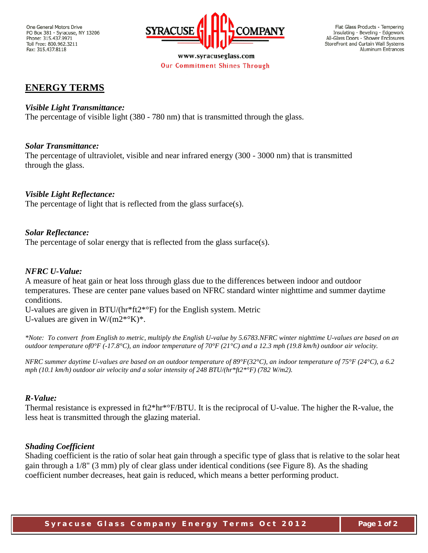

www.svracuseglass.com Our Commitment Shines Through

Flat Glass Products - Tempering Insulating - Beveling - Edgework All-Glass Doors - Shower Enclosures StoreFront and Curtain Wall Systems Aluminum Entrances

# **ENERGY TERMS**

## *Visible Light Transmittance:*

The percentage of visible light (380 - 780 nm) that is transmitted through the glass.

## *Solar Transmittance:*

The percentage of ultraviolet, visible and near infrared energy (300 - 3000 nm) that is transmitted through the glass.

# *Visible Light Reflectance:*

The percentage of light that is reflected from the glass surface(s).

## *Solar Reflectance:*

The percentage of solar energy that is reflected from the glass surface(s).

## *NFRC U-Value:*

A measure of heat gain or heat loss through glass due to the differences between indoor and outdoor temperatures. These are center pane values based on NFRC standard winter nighttime and summer daytime conditions.

U-values are given in  $BTU/(hr*ft2*°F)$  for the English system. Metric U-values are given in  $W/(m2^{*o}K)^*$ .

*\*Note: To convert from English to metric, multiply the English U-value by 5.6783.NFRC winter nighttime U-values are based on an outdoor temperature of0°F (-17.8°C), an indoor temperature of 70°F (21°C) and a 12.3 mph (19.8 km/h) outdoor air velocity.*

*NFRC summer daytime U-values are based on an outdoor temperature of 89°F(32°C), an indoor temperature of 75°F (24°C), a 6.2 mph (10.1 km/h) outdoor air velocity and a solar intensity of 248 BTU/(hr\*ft2\*°F) (782 W/m2).*

#### *R-Value:*

Thermal resistance is expressed in ft2\*hr\*°F/BTU. It is the reciprocal of U-value. The higher the R-value, the less heat is transmitted through the glazing material.

#### *Shading Coefficient*

Shading coefficient is the ratio of solar heat gain through a specific type of glass that is relative to the solar heat gain through a 1/8" (3 mm) ply of clear glass under identical conditions (see Figure 8). As the shading coefficient number decreases, heat gain is reduced, which means a better performing product.